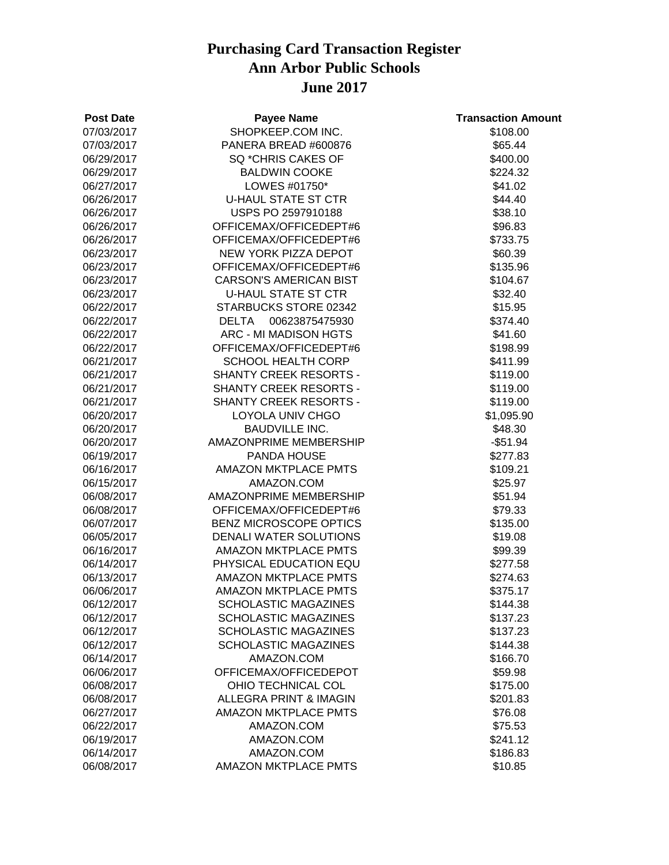| <b>Post Date</b> | <b>Payee Name</b>                 | <b>Transaction Amount</b> |
|------------------|-----------------------------------|---------------------------|
| 07/03/2017       | SHOPKEEP.COM INC.                 | \$108.00                  |
| 07/03/2017       | PANERA BREAD #600876              | \$65.44                   |
| 06/29/2017       | SQ *CHRIS CAKES OF                | \$400.00                  |
| 06/29/2017       | <b>BALDWIN COOKE</b>              | \$224.32                  |
| 06/27/2017       | LOWES #01750*                     | \$41.02                   |
| 06/26/2017       | <b>U-HAUL STATE ST CTR</b>        | \$44.40                   |
| 06/26/2017       | USPS PO 2597910188                | \$38.10                   |
| 06/26/2017       | OFFICEMAX/OFFICEDEPT#6            | \$96.83                   |
| 06/26/2017       | OFFICEMAX/OFFICEDEPT#6            | \$733.75                  |
| 06/23/2017       | NEW YORK PIZZA DEPOT              | \$60.39                   |
| 06/23/2017       | OFFICEMAX/OFFICEDEPT#6            | \$135.96                  |
| 06/23/2017       | <b>CARSON'S AMERICAN BIST</b>     | \$104.67                  |
| 06/23/2017       | <b>U-HAUL STATE ST CTR</b>        | \$32.40                   |
| 06/22/2017       | STARBUCKS STORE 02342             | \$15.95                   |
| 06/22/2017       | 00623875475930<br>DELTA           | \$374.40                  |
| 06/22/2017       | ARC - MI MADISON HGTS             | \$41.60                   |
| 06/22/2017       | OFFICEMAX/OFFICEDEPT#6            | \$198.99                  |
| 06/21/2017       | <b>SCHOOL HEALTH CORP</b>         | \$411.99                  |
| 06/21/2017       | <b>SHANTY CREEK RESORTS -</b>     | \$119.00                  |
| 06/21/2017       | SHANTY CREEK RESORTS -            | \$119.00                  |
| 06/21/2017       | <b>SHANTY CREEK RESORTS -</b>     | \$119.00                  |
| 06/20/2017       | LOYOLA UNIV CHGO                  | \$1,095.90                |
| 06/20/2017       | <b>BAUDVILLE INC.</b>             | \$48.30                   |
| 06/20/2017       | AMAZONPRIME MEMBERSHIP            | $-$ \$51.94               |
| 06/19/2017       | PANDA HOUSE                       | \$277.83                  |
| 06/16/2017       | <b>AMAZON MKTPLACE PMTS</b>       | \$109.21                  |
| 06/15/2017       | AMAZON.COM                        | \$25.97                   |
| 06/08/2017       | AMAZONPRIME MEMBERSHIP            | \$51.94                   |
| 06/08/2017       | OFFICEMAX/OFFICEDEPT#6            | \$79.33                   |
| 06/07/2017       | BENZ MICROSCOPE OPTICS            | \$135.00                  |
| 06/05/2017       | DENALI WATER SOLUTIONS            | \$19.08                   |
| 06/16/2017       | <b>AMAZON MKTPLACE PMTS</b>       | \$99.39                   |
| 06/14/2017       | PHYSICAL EDUCATION EQU            | \$277.58                  |
| 06/13/2017       | <b>AMAZON MKTPLACE PMTS</b>       | \$274.63                  |
| 06/06/2017       | <b>AMAZON MKTPLACE PMTS</b>       | \$375.17                  |
| 06/12/2017       | <b>SCHOLASTIC MAGAZINES</b>       | \$144.38                  |
| 06/12/2017       | <b>SCHOLASTIC MAGAZINES</b>       | \$137.23                  |
| 06/12/2017       | <b>SCHOLASTIC MAGAZINES</b>       | \$137.23                  |
| 06/12/2017       | <b>SCHOLASTIC MAGAZINES</b>       | \$144.38                  |
| 06/14/2017       | AMAZON.COM                        | \$166.70                  |
| 06/06/2017       | OFFICEMAX/OFFICEDEPOT             | \$59.98                   |
| 06/08/2017       | OHIO TECHNICAL COL                | \$175.00                  |
| 06/08/2017       | <b>ALLEGRA PRINT &amp; IMAGIN</b> | \$201.83                  |
| 06/27/2017       | <b>AMAZON MKTPLACE PMTS</b>       | \$76.08                   |
| 06/22/2017       | AMAZON.COM                        | \$75.53                   |
| 06/19/2017       | AMAZON.COM                        | \$241.12                  |
| 06/14/2017       | AMAZON.COM                        | \$186.83                  |
| 06/08/2017       | <b>AMAZON MKTPLACE PMTS</b>       | \$10.85                   |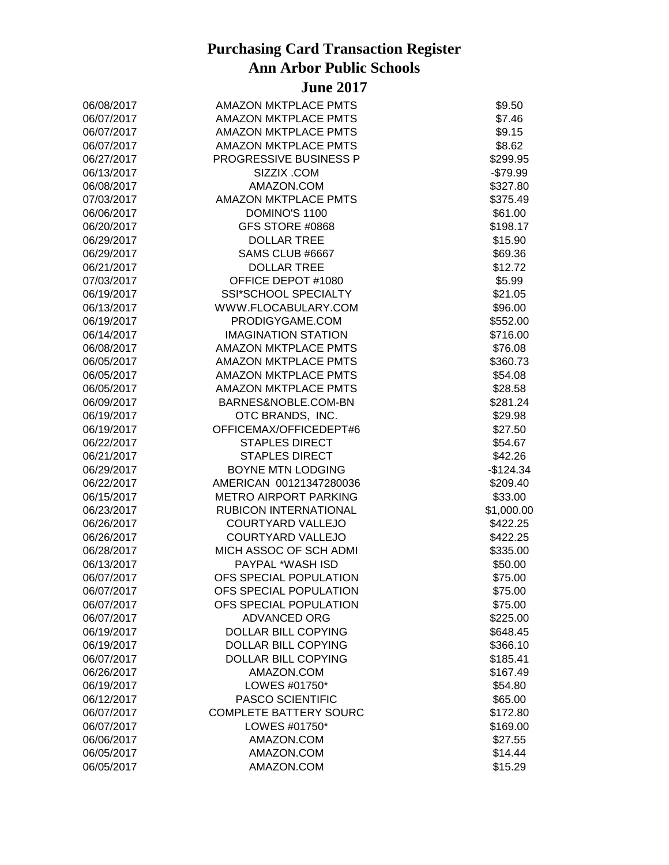| 06/08/2017 | <b>AMAZON MKTPLACE PMTS</b>   | \$9.50     |
|------------|-------------------------------|------------|
| 06/07/2017 | <b>AMAZON MKTPLACE PMTS</b>   | \$7.46     |
| 06/07/2017 | <b>AMAZON MKTPLACE PMTS</b>   | \$9.15     |
| 06/07/2017 | <b>AMAZON MKTPLACE PMTS</b>   | \$8.62     |
| 06/27/2017 | PROGRESSIVE BUSINESS P        | \$299.95   |
| 06/13/2017 | SIZZIX .COM                   | $-$79.99$  |
| 06/08/2017 | AMAZON.COM                    | \$327.80   |
| 07/03/2017 | <b>AMAZON MKTPLACE PMTS</b>   | \$375.49   |
| 06/06/2017 | DOMINO'S 1100                 | \$61.00    |
| 06/20/2017 | GFS STORE #0868               | \$198.17   |
| 06/29/2017 | <b>DOLLAR TREE</b>            | \$15.90    |
| 06/29/2017 | SAMS CLUB #6667               | \$69.36    |
| 06/21/2017 | <b>DOLLAR TREE</b>            | \$12.72    |
| 07/03/2017 | OFFICE DEPOT #1080            | \$5.99     |
| 06/19/2017 | SSI*SCHOOL SPECIALTY          | \$21.05    |
| 06/13/2017 | WWW.FLOCABULARY.COM           | \$96.00    |
| 06/19/2017 | PRODIGYGAME.COM               | \$552.00   |
| 06/14/2017 | <b>IMAGINATION STATION</b>    | \$716.00   |
| 06/08/2017 | AMAZON MKTPLACE PMTS          | \$76.08    |
| 06/05/2017 | <b>AMAZON MKTPLACE PMTS</b>   | \$360.73   |
| 06/05/2017 | <b>AMAZON MKTPLACE PMTS</b>   | \$54.08    |
| 06/05/2017 | <b>AMAZON MKTPLACE PMTS</b>   | \$28.58    |
| 06/09/2017 | BARNES&NOBLE.COM-BN           | \$281.24   |
| 06/19/2017 | OTC BRANDS, INC.              | \$29.98    |
| 06/19/2017 | OFFICEMAX/OFFICEDEPT#6        | \$27.50    |
| 06/22/2017 | <b>STAPLES DIRECT</b>         | \$54.67    |
| 06/21/2017 | <b>STAPLES DIRECT</b>         | \$42.26    |
| 06/29/2017 | <b>BOYNE MTN LODGING</b>      | $-$124.34$ |
| 06/22/2017 | AMERICAN 00121347280036       | \$209.40   |
| 06/15/2017 | <b>METRO AIRPORT PARKING</b>  | \$33.00    |
| 06/23/2017 | RUBICON INTERNATIONAL         | \$1,000.00 |
| 06/26/2017 | COURTYARD VALLEJO             | \$422.25   |
| 06/26/2017 | <b>COURTYARD VALLEJO</b>      | \$422.25   |
| 06/28/2017 | MICH ASSOC OF SCH ADMI        | \$335.00   |
| 06/13/2017 | PAYPAL *WASH ISD              | \$50.00    |
| 06/07/2017 | OFS SPECIAL POPULATION        | \$75.00    |
| 06/07/2017 | OFS SPECIAL POPULATION        | \$75.00    |
| 06/07/2017 | OFS SPECIAL POPULATION        | \$75.00    |
| 06/07/2017 | <b>ADVANCED ORG</b>           | \$225.00   |
| 06/19/2017 | <b>DOLLAR BILL COPYING</b>    | \$648.45   |
| 06/19/2017 | DOLLAR BILL COPYING           | \$366.10   |
| 06/07/2017 | DOLLAR BILL COPYING           | \$185.41   |
| 06/26/2017 | AMAZON.COM                    | \$167.49   |
| 06/19/2017 | LOWES #01750*                 | \$54.80    |
| 06/12/2017 | <b>PASCO SCIENTIFIC</b>       | \$65.00    |
| 06/07/2017 | <b>COMPLETE BATTERY SOURC</b> | \$172.80   |
| 06/07/2017 | LOWES #01750*                 | \$169.00   |
| 06/06/2017 | AMAZON.COM                    | \$27.55    |
| 06/05/2017 | AMAZON.COM                    | \$14.44    |
|            |                               |            |
| 06/05/2017 | AMAZON.COM                    | \$15.29    |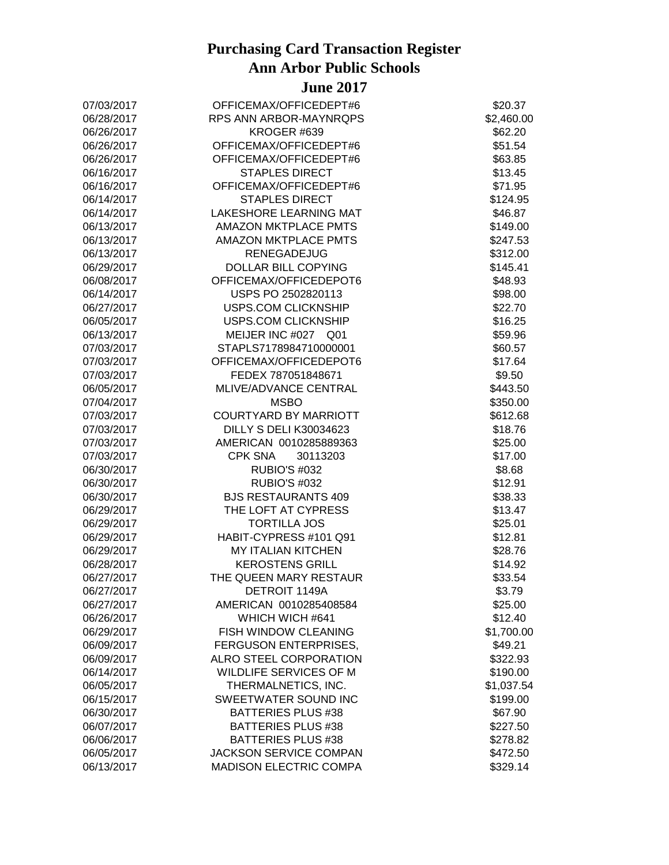| 07/03/2017 | OFFICEMAX/OFFICEDEPT#6        | \$20.37    |
|------------|-------------------------------|------------|
| 06/28/2017 | RPS ANN ARBOR-MAYNRQPS        | \$2,460.00 |
| 06/26/2017 | KROGER #639                   | \$62.20    |
| 06/26/2017 | OFFICEMAX/OFFICEDEPT#6        | \$51.54    |
| 06/26/2017 | OFFICEMAX/OFFICEDEPT#6        | \$63.85    |
| 06/16/2017 | <b>STAPLES DIRECT</b>         | \$13.45    |
| 06/16/2017 | OFFICEMAX/OFFICEDEPT#6        | \$71.95    |
| 06/14/2017 | <b>STAPLES DIRECT</b>         | \$124.95   |
| 06/14/2017 | <b>LAKESHORE LEARNING MAT</b> | \$46.87    |
| 06/13/2017 | <b>AMAZON MKTPLACE PMTS</b>   | \$149.00   |
| 06/13/2017 | <b>AMAZON MKTPLACE PMTS</b>   | \$247.53   |
| 06/13/2017 | <b>RENEGADEJUG</b>            | \$312.00   |
| 06/29/2017 | DOLLAR BILL COPYING           | \$145.41   |
| 06/08/2017 | OFFICEMAX/OFFICEDEPOT6        | \$48.93    |
| 06/14/2017 | USPS PO 2502820113            | \$98.00    |
| 06/27/2017 | USPS.COM CLICKNSHIP           | \$22.70    |
| 06/05/2017 | USPS.COM CLICKNSHIP           | \$16.25    |
| 06/13/2017 | MEIJER INC #027 Q01           | \$59.96    |
| 07/03/2017 | STAPLS7178984710000001        | \$60.57    |
| 07/03/2017 | OFFICEMAX/OFFICEDEPOT6        | \$17.64    |
| 07/03/2017 | FEDEX 787051848671            | \$9.50     |
| 06/05/2017 | MLIVE/ADVANCE CENTRAL         | \$443.50   |
| 07/04/2017 | <b>MSBO</b>                   | \$350.00   |
| 07/03/2017 | <b>COURTYARD BY MARRIOTT</b>  | \$612.68   |
| 07/03/2017 | DILLY S DELI K30034623        | \$18.76    |
| 07/03/2017 | AMERICAN 0010285889363        | \$25.00    |
| 07/03/2017 | <b>CPK SNA</b><br>30113203    | \$17.00    |
| 06/30/2017 | <b>RUBIO'S #032</b>           | \$8.68     |
| 06/30/2017 | <b>RUBIO'S #032</b>           | \$12.91    |
| 06/30/2017 | <b>BJS RESTAURANTS 409</b>    | \$38.33    |
| 06/29/2017 | THE LOFT AT CYPRESS           | \$13.47    |
| 06/29/2017 | <b>TORTILLA JOS</b>           | \$25.01    |
| 06/29/2017 | HABIT-CYPRESS #101 Q91        | \$12.81    |
| 06/29/2017 | <b>MY ITALIAN KITCHEN</b>     | \$28.76    |
| 06/28/2017 | <b>KEROSTENS GRILL</b>        | \$14.92    |
| 06/27/2017 | THE QUEEN MARY RESTAUR        | \$33.54    |
| 06/27/2017 | DETROIT 1149A                 | \$3.79     |
| 06/27/2017 | AMERICAN 0010285408584        | \$25.00    |
| 06/26/2017 | WHICH WICH #641               | \$12.40    |
| 06/29/2017 | FISH WINDOW CLEANING          | \$1,700.00 |
| 06/09/2017 | FERGUSON ENTERPRISES,         | \$49.21    |
| 06/09/2017 | ALRO STEEL CORPORATION        | \$322.93   |
| 06/14/2017 | WILDLIFE SERVICES OF M        | \$190.00   |
| 06/05/2017 | THERMALNETICS, INC.           | \$1,037.54 |
| 06/15/2017 | SWEETWATER SOUND INC          | \$199.00   |
| 06/30/2017 | <b>BATTERIES PLUS #38</b>     | \$67.90    |
| 06/07/2017 | <b>BATTERIES PLUS #38</b>     | \$227.50   |
| 06/06/2017 | <b>BATTERIES PLUS #38</b>     | \$278.82   |
| 06/05/2017 | <b>JACKSON SERVICE COMPAN</b> | \$472.50   |
| 06/13/2017 | <b>MADISON ELECTRIC COMPA</b> | \$329.14   |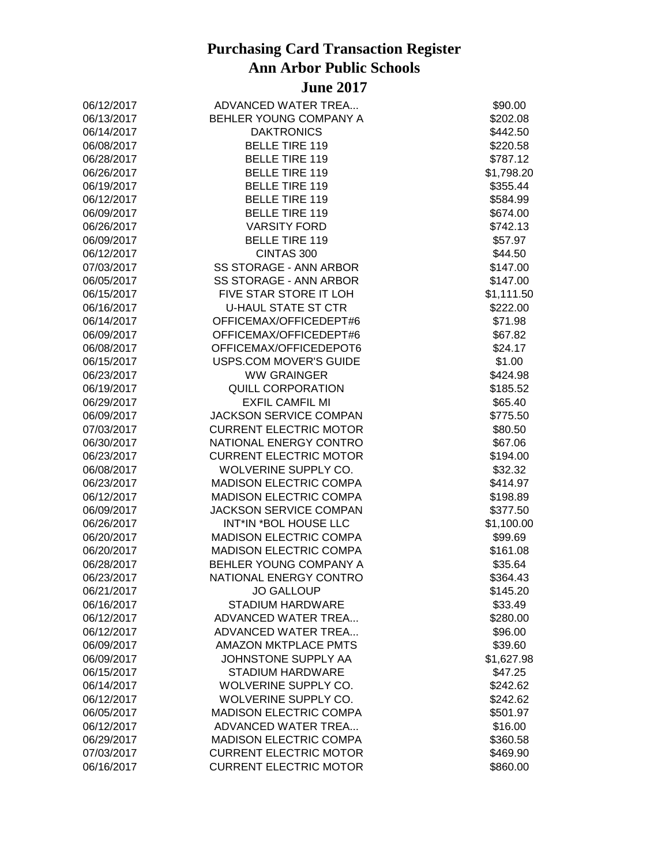| 06/12/2017               | ADVANCED WATER TREA           | \$90.00             |
|--------------------------|-------------------------------|---------------------|
| 06/13/2017               | BEHLER YOUNG COMPANY A        | \$202.08            |
| 06/14/2017               | <b>DAKTRONICS</b>             | \$442.50            |
| 06/08/2017               | <b>BELLE TIRE 119</b>         | \$220.58            |
| 06/28/2017               | <b>BELLE TIRE 119</b>         | \$787.12            |
| 06/26/2017               | <b>BELLE TIRE 119</b>         | \$1,798.20          |
| 06/19/2017               | <b>BELLE TIRE 119</b>         | \$355.44            |
| 06/12/2017               | <b>BELLE TIRE 119</b>         | \$584.99            |
| 06/09/2017               | <b>BELLE TIRE 119</b>         | \$674.00            |
| 06/26/2017               | <b>VARSITY FORD</b>           | \$742.13            |
| 06/09/2017               | <b>BELLE TIRE 119</b>         | \$57.97             |
| 06/12/2017               | CINTAS 300                    | \$44.50             |
| 07/03/2017               | SS STORAGE - ANN ARBOR        | \$147.00            |
| 06/05/2017               | SS STORAGE - ANN ARBOR        | \$147.00            |
| 06/15/2017               | FIVE STAR STORE IT LOH        | \$1,111.50          |
| 06/16/2017               | <b>U-HAUL STATE ST CTR</b>    | \$222.00            |
| 06/14/2017               | OFFICEMAX/OFFICEDEPT#6        | \$71.98             |
| 06/09/2017               | OFFICEMAX/OFFICEDEPT#6        | \$67.82             |
| 06/08/2017               | OFFICEMAX/OFFICEDEPOT6        | \$24.17             |
| 06/15/2017               | USPS.COM MOVER'S GUIDE        | \$1.00              |
| 06/23/2017               | <b>WW GRAINGER</b>            | \$424.98            |
| 06/19/2017               | <b>QUILL CORPORATION</b>      | \$185.52            |
| 06/29/2017               | <b>EXFIL CAMFIL MI</b>        | \$65.40             |
| 06/09/2017               | <b>JACKSON SERVICE COMPAN</b> | \$775.50            |
| 07/03/2017               | <b>CURRENT ELECTRIC MOTOR</b> | \$80.50             |
| 06/30/2017               | NATIONAL ENERGY CONTRO        | \$67.06             |
| 06/23/2017               | <b>CURRENT ELECTRIC MOTOR</b> | \$194.00            |
| 06/08/2017               | WOLVERINE SUPPLY CO.          | \$32.32             |
| 06/23/2017               | MADISON ELECTRIC COMPA        | \$414.97            |
| 06/12/2017               | MADISON ELECTRIC COMPA        | \$198.89            |
| 06/09/2017               | <b>JACKSON SERVICE COMPAN</b> | \$377.50            |
| 06/26/2017               | INT*IN *BOL HOUSE LLC         | \$1,100.00          |
| 06/20/2017               | <b>MADISON ELECTRIC COMPA</b> | \$99.69             |
| 06/20/2017               | <b>MADISON ELECTRIC COMPA</b> | \$161.08            |
| 06/28/2017               | BEHLER YOUNG COMPANY A        | \$35.64             |
| 06/23/2017               | NATIONAL ENERGY CONTRO        | \$364.43            |
| 06/21/2017               | <b>JO GALLOUP</b>             | \$145.20            |
| 06/16/2017               | <b>STADIUM HARDWARE</b>       | \$33.49             |
| 06/12/2017               | ADVANCED WATER TREA           | \$280.00            |
| 06/12/2017               | ADVANCED WATER TREA           | \$96.00             |
| 06/09/2017               | <b>AMAZON MKTPLACE PMTS</b>   | \$39.60             |
| 06/09/2017               | JOHNSTONE SUPPLY AA           | \$1,627.98          |
| 06/15/2017               | <b>STADIUM HARDWARE</b>       | \$47.25             |
| 06/14/2017               | WOLVERINE SUPPLY CO.          | \$242.62            |
| 06/12/2017               | WOLVERINE SUPPLY CO.          | \$242.62            |
|                          | <b>MADISON ELECTRIC COMPA</b> |                     |
| 06/05/2017<br>06/12/2017 | ADVANCED WATER TREA           | \$501.97<br>\$16.00 |
|                          |                               |                     |
| 06/29/2017               | <b>MADISON ELECTRIC COMPA</b> | \$360.58            |
| 07/03/2017               | <b>CURRENT ELECTRIC MOTOR</b> | \$469.90            |
| 06/16/2017               | <b>CURRENT ELECTRIC MOTOR</b> | \$860.00            |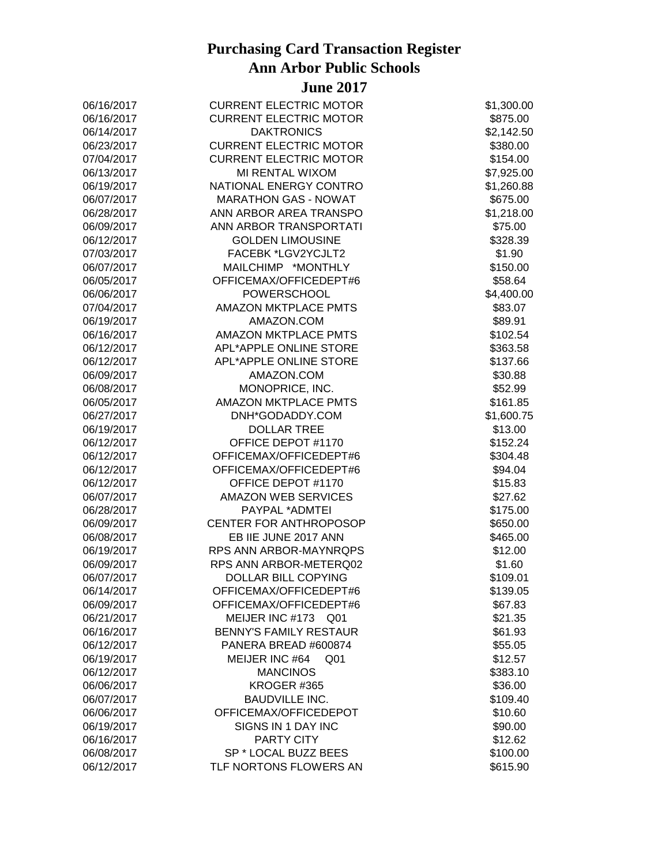| 06/16/2017 | <b>CURRENT ELECTRIC MOTOR</b>     | \$1,300.00 |
|------------|-----------------------------------|------------|
| 06/16/2017 | <b>CURRENT ELECTRIC MOTOR</b>     | \$875.00   |
| 06/14/2017 | <b>DAKTRONICS</b>                 | \$2,142.50 |
| 06/23/2017 | <b>CURRENT ELECTRIC MOTOR</b>     | \$380.00   |
| 07/04/2017 | <b>CURRENT ELECTRIC MOTOR</b>     | \$154.00   |
| 06/13/2017 | MI RENTAL WIXOM                   | \$7,925.00 |
| 06/19/2017 | NATIONAL ENERGY CONTRO            | \$1,260.88 |
| 06/07/2017 | <b>MARATHON GAS - NOWAT</b>       | \$675.00   |
| 06/28/2017 | ANN ARBOR AREA TRANSPO            | \$1,218.00 |
| 06/09/2017 | ANN ARBOR TRANSPORTATI            | \$75.00    |
| 06/12/2017 | <b>GOLDEN LIMOUSINE</b>           | \$328.39   |
| 07/03/2017 | FACEBK *LGV2YCJLT2                | \$1.90     |
| 06/07/2017 | MAILCHIMP *MONTHLY                | \$150.00   |
| 06/05/2017 | OFFICEMAX/OFFICEDEPT#6            | \$58.64    |
| 06/06/2017 | <b>POWERSCHOOL</b>                | \$4,400.00 |
| 07/04/2017 | <b>AMAZON MKTPLACE PMTS</b>       | \$83.07    |
| 06/19/2017 | AMAZON.COM                        | \$89.91    |
| 06/16/2017 | AMAZON MKTPLACE PMTS              | \$102.54   |
| 06/12/2017 | APL*APPLE ONLINE STORE            | \$363.58   |
| 06/12/2017 | APL*APPLE ONLINE STORE            | \$137.66   |
| 06/09/2017 | AMAZON.COM                        | \$30.88    |
| 06/08/2017 | MONOPRICE, INC.                   | \$52.99    |
| 06/05/2017 | <b>AMAZON MKTPLACE PMTS</b>       | \$161.85   |
| 06/27/2017 | DNH*GODADDY.COM                   | \$1,600.75 |
| 06/19/2017 | <b>DOLLAR TREE</b>                | \$13.00    |
| 06/12/2017 | OFFICE DEPOT #1170                | \$152.24   |
| 06/12/2017 | OFFICEMAX/OFFICEDEPT#6            | \$304.48   |
| 06/12/2017 | OFFICEMAX/OFFICEDEPT#6            | \$94.04    |
| 06/12/2017 | OFFICE DEPOT #1170                | \$15.83    |
| 06/07/2017 | <b>AMAZON WEB SERVICES</b>        | \$27.62    |
| 06/28/2017 | PAYPAL *ADMTEI                    | \$175.00   |
| 06/09/2017 | CENTER FOR ANTHROPOSOP            | \$650.00   |
| 06/08/2017 | EB IIE JUNE 2017 ANN              | \$465.00   |
| 06/19/2017 | RPS ANN ARBOR-MAYNRQPS            | \$12.00    |
| 06/09/2017 | RPS ANN ARBOR-METERQ02            | \$1.60     |
| 06/07/2017 | DOLLAR BILL COPYING               | \$109.01   |
| 06/14/2017 | OFFICEMAX/OFFICEDEPT#6            | \$139.05   |
| 06/09/2017 | OFFICEMAX/OFFICEDEPT#6            | \$67.83    |
| 06/21/2017 | MEIJER INC #173<br>Q01            | \$21.35    |
| 06/16/2017 | <b>BENNY'S FAMILY RESTAUR</b>     | \$61.93    |
| 06/12/2017 | PANERA BREAD #600874              | \$55.05    |
| 06/19/2017 | MEIJER INC #64<br>Q <sub>01</sub> | \$12.57    |
| 06/12/2017 | <b>MANCINOS</b>                   | \$383.10   |
| 06/06/2017 | KROGER #365                       | \$36.00    |
| 06/07/2017 | <b>BAUDVILLE INC.</b>             | \$109.40   |
| 06/06/2017 | OFFICEMAX/OFFICEDEPOT             | \$10.60    |
| 06/19/2017 | SIGNS IN 1 DAY INC                | \$90.00    |
| 06/16/2017 | <b>PARTY CITY</b>                 | \$12.62    |
| 06/08/2017 | SP * LOCAL BUZZ BEES              | \$100.00   |
| 06/12/2017 | TLF NORTONS FLOWERS AN            | \$615.90   |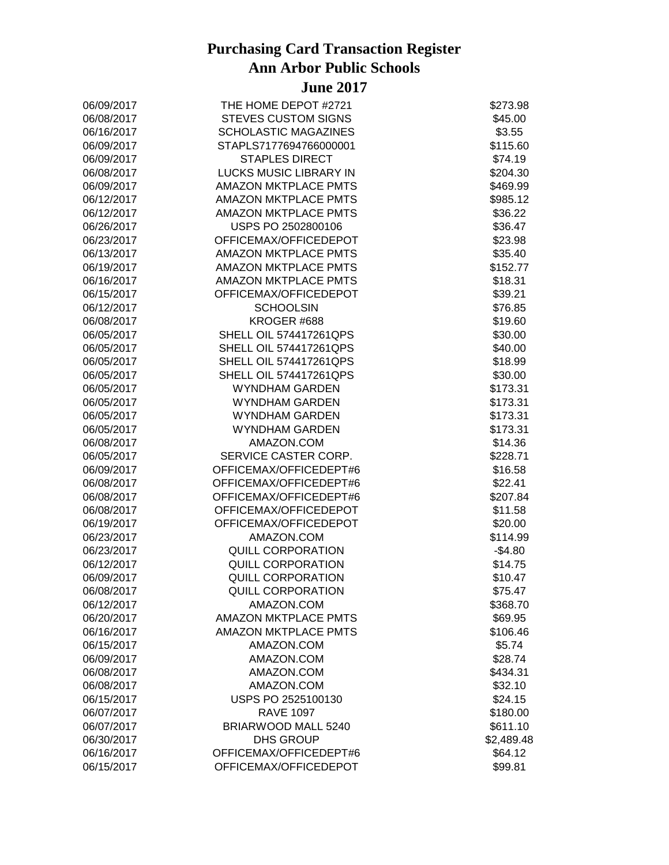| 06/09/2017 | THE HOME DEPOT #2721          | \$273.98   |
|------------|-------------------------------|------------|
| 06/08/2017 | <b>STEVES CUSTOM SIGNS</b>    | \$45.00    |
| 06/16/2017 | <b>SCHOLASTIC MAGAZINES</b>   | \$3.55     |
| 06/09/2017 | STAPLS7177694766000001        | \$115.60   |
| 06/09/2017 | <b>STAPLES DIRECT</b>         | \$74.19    |
| 06/08/2017 | LUCKS MUSIC LIBRARY IN        | \$204.30   |
| 06/09/2017 | <b>AMAZON MKTPLACE PMTS</b>   | \$469.99   |
| 06/12/2017 | <b>AMAZON MKTPLACE PMTS</b>   | \$985.12   |
| 06/12/2017 | <b>AMAZON MKTPLACE PMTS</b>   | \$36.22    |
| 06/26/2017 | USPS PO 2502800106            | \$36.47    |
| 06/23/2017 | OFFICEMAX/OFFICEDEPOT         | \$23.98    |
| 06/13/2017 | AMAZON MKTPLACE PMTS          | \$35.40    |
| 06/19/2017 | <b>AMAZON MKTPLACE PMTS</b>   | \$152.77   |
| 06/16/2017 | <b>AMAZON MKTPLACE PMTS</b>   | \$18.31    |
| 06/15/2017 | OFFICEMAX/OFFICEDEPOT         | \$39.21    |
| 06/12/2017 | <b>SCHOOLSIN</b>              | \$76.85    |
| 06/08/2017 | KROGER #688                   | \$19.60    |
| 06/05/2017 | <b>SHELL OIL 574417261QPS</b> | \$30.00    |
| 06/05/2017 | <b>SHELL OIL 574417261QPS</b> | \$40.00    |
| 06/05/2017 | <b>SHELL OIL 574417261QPS</b> | \$18.99    |
| 06/05/2017 | <b>SHELL OIL 574417261QPS</b> | \$30.00    |
| 06/05/2017 | <b>WYNDHAM GARDEN</b>         | \$173.31   |
| 06/05/2017 | <b>WYNDHAM GARDEN</b>         | \$173.31   |
| 06/05/2017 | <b>WYNDHAM GARDEN</b>         | \$173.31   |
| 06/05/2017 | <b>WYNDHAM GARDEN</b>         | \$173.31   |
| 06/08/2017 | AMAZON.COM                    | \$14.36    |
| 06/05/2017 | SERVICE CASTER CORP.          | \$228.71   |
| 06/09/2017 | OFFICEMAX/OFFICEDEPT#6        | \$16.58    |
| 06/08/2017 | OFFICEMAX/OFFICEDEPT#6        | \$22.41    |
| 06/08/2017 | OFFICEMAX/OFFICEDEPT#6        | \$207.84   |
| 06/08/2017 | OFFICEMAX/OFFICEDEPOT         | \$11.58    |
| 06/19/2017 | OFFICEMAX/OFFICEDEPOT         | \$20.00    |
| 06/23/2017 | AMAZON.COM                    | \$114.99   |
| 06/23/2017 | <b>QUILL CORPORATION</b>      | $-$4.80$   |
| 06/12/2017 | <b>QUILL CORPORATION</b>      | \$14.75    |
| 06/09/2017 | <b>QUILL CORPORATION</b>      | \$10.47    |
| 06/08/2017 | <b>QUILL CORPORATION</b>      |            |
|            |                               | \$75.47    |
| 06/12/2017 | AMAZON.COM                    | \$368.70   |
| 06/20/2017 | <b>AMAZON MKTPLACE PMTS</b>   | \$69.95    |
| 06/16/2017 | <b>AMAZON MKTPLACE PMTS</b>   | \$106.46   |
| 06/15/2017 | AMAZON.COM                    | \$5.74     |
| 06/09/2017 | AMAZON.COM                    | \$28.74    |
| 06/08/2017 | AMAZON.COM                    | \$434.31   |
| 06/08/2017 | AMAZON.COM                    | \$32.10    |
| 06/15/2017 | USPS PO 2525100130            | \$24.15    |
| 06/07/2017 | <b>RAVE 1097</b>              | \$180.00   |
| 06/07/2017 | BRIARWOOD MALL 5240           | \$611.10   |
| 06/30/2017 | <b>DHS GROUP</b>              | \$2,489.48 |
| 06/16/2017 | OFFICEMAX/OFFICEDEPT#6        | \$64.12    |
| 06/15/2017 | OFFICEMAX/OFFICEDEPOT         | \$99.81    |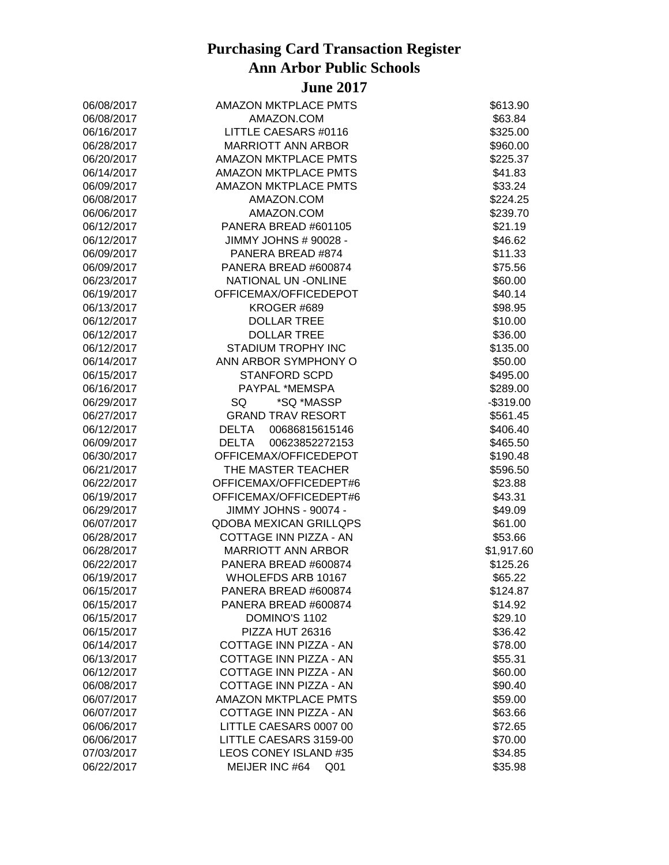| 06/08/2017 | <b>AMAZON MKTPLACE PMTS</b>       | \$613.90   |
|------------|-----------------------------------|------------|
| 06/08/2017 | AMAZON.COM                        | \$63.84    |
| 06/16/2017 | LITTLE CAESARS #0116              | \$325.00   |
| 06/28/2017 | <b>MARRIOTT ANN ARBOR</b>         | \$960.00   |
| 06/20/2017 | AMAZON MKTPLACE PMTS              | \$225.37   |
| 06/14/2017 | AMAZON MKTPLACE PMTS              | \$41.83    |
| 06/09/2017 | AMAZON MKTPLACE PMTS              | \$33.24    |
| 06/08/2017 | AMAZON.COM                        | \$224.25   |
| 06/06/2017 | AMAZON.COM                        | \$239.70   |
| 06/12/2017 | PANERA BREAD #601105              | \$21.19    |
| 06/12/2017 | JIMMY JOHNS # 90028 -             | \$46.62    |
| 06/09/2017 | PANERA BREAD #874                 | \$11.33    |
| 06/09/2017 | PANERA BREAD #600874              | \$75.56    |
| 06/23/2017 | NATIONAL UN -ONLINE               | \$60.00    |
| 06/19/2017 | OFFICEMAX/OFFICEDEPOT             | \$40.14    |
| 06/13/2017 | KROGER #689                       | \$98.95    |
| 06/12/2017 | <b>DOLLAR TREE</b>                | \$10.00    |
| 06/12/2017 | <b>DOLLAR TREE</b>                | \$36.00    |
| 06/12/2017 | STADIUM TROPHY INC                | \$135.00   |
| 06/14/2017 | ANN ARBOR SYMPHONY O              | \$50.00    |
| 06/15/2017 | <b>STANFORD SCPD</b>              | \$495.00   |
| 06/16/2017 | PAYPAL *MEMSPA                    | \$289.00   |
| 06/29/2017 | SQ<br>*SQ *MASSP                  | $-$319.00$ |
| 06/27/2017 | <b>GRAND TRAV RESORT</b>          | \$561.45   |
| 06/12/2017 | <b>DELTA</b><br>00686815615146    | \$406.40   |
| 06/09/2017 | <b>DELTA</b><br>00623852272153    | \$465.50   |
| 06/30/2017 | OFFICEMAX/OFFICEDEPOT             | \$190.48   |
| 06/21/2017 | THE MASTER TEACHER                | \$596.50   |
| 06/22/2017 | OFFICEMAX/OFFICEDEPT#6            | \$23.88    |
| 06/19/2017 | OFFICEMAX/OFFICEDEPT#6            | \$43.31    |
| 06/29/2017 | JIMMY JOHNS - 90074 -             | \$49.09    |
| 06/07/2017 | <b>QDOBA MEXICAN GRILLQPS</b>     | \$61.00    |
| 06/28/2017 | COTTAGE INN PIZZA - AN            | \$53.66    |
| 06/28/2017 | <b>MARRIOTT ANN ARBOR</b>         | \$1,917.60 |
| 06/22/2017 | PANERA BREAD #600874              | \$125.26   |
| 06/19/2017 | WHOLEFDS ARB 10167                | \$65.22    |
| 06/15/2017 | PANERA BREAD #600874              | \$124.87   |
| 06/15/2017 | PANERA BREAD #600874              | \$14.92    |
| 06/15/2017 | DOMINO'S 1102                     | \$29.10    |
| 06/15/2017 | PIZZA HUT 26316                   | \$36.42    |
| 06/14/2017 | COTTAGE INN PIZZA - AN            | \$78.00    |
| 06/13/2017 | COTTAGE INN PIZZA - AN            | \$55.31    |
| 06/12/2017 | COTTAGE INN PIZZA - AN            | \$60.00    |
| 06/08/2017 | COTTAGE INN PIZZA - AN            | \$90.40    |
| 06/07/2017 | AMAZON MKTPLACE PMTS              | \$59.00    |
| 06/07/2017 | COTTAGE INN PIZZA - AN            | \$63.66    |
| 06/06/2017 | LITTLE CAESARS 0007 00            | \$72.65    |
| 06/06/2017 | LITTLE CAESARS 3159-00            | \$70.00    |
| 07/03/2017 | <b>LEOS CONEY ISLAND #35</b>      | \$34.85    |
| 06/22/2017 | MEIJER INC #64<br>Q <sub>01</sub> | \$35.98    |
|            |                                   |            |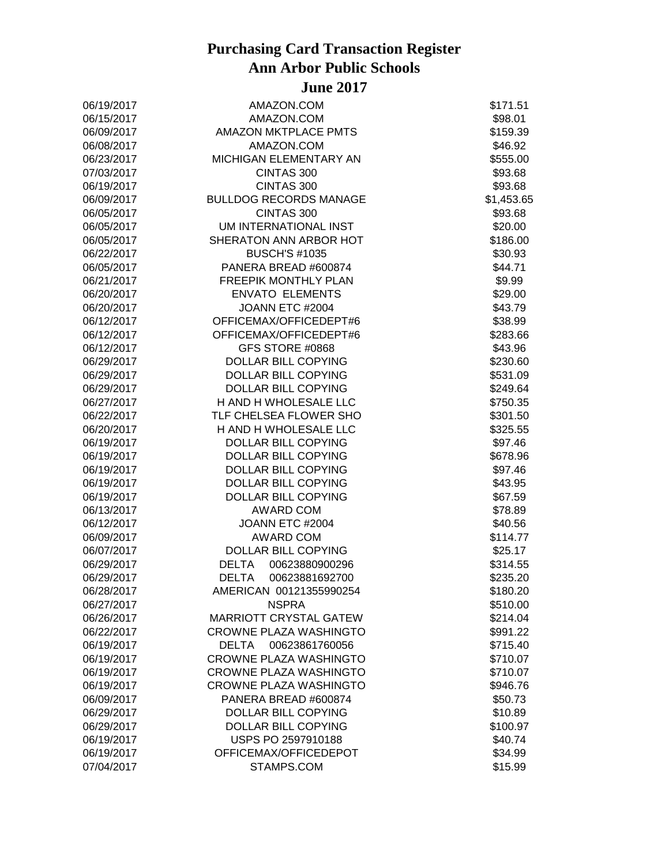| 06/19/2017 | AMAZON.COM                     | \$171.51   |
|------------|--------------------------------|------------|
| 06/15/2017 | AMAZON.COM                     | \$98.01    |
| 06/09/2017 | <b>AMAZON MKTPLACE PMTS</b>    | \$159.39   |
| 06/08/2017 | AMAZON.COM                     | \$46.92    |
| 06/23/2017 | MICHIGAN ELEMENTARY AN         | \$555.00   |
| 07/03/2017 | CINTAS 300                     | \$93.68    |
| 06/19/2017 | CINTAS 300                     | \$93.68    |
| 06/09/2017 | <b>BULLDOG RECORDS MANAGE</b>  | \$1,453.65 |
| 06/05/2017 | CINTAS 300                     | \$93.68    |
| 06/05/2017 | UM INTERNATIONAL INST          | \$20.00    |
| 06/05/2017 | SHERATON ANN ARBOR HOT         | \$186.00   |
| 06/22/2017 | <b>BUSCH'S #1035</b>           | \$30.93    |
| 06/05/2017 | PANERA BREAD #600874           | \$44.71    |
| 06/21/2017 | <b>FREEPIK MONTHLY PLAN</b>    | \$9.99     |
| 06/20/2017 | <b>ENVATO ELEMENTS</b>         | \$29.00    |
| 06/20/2017 | JOANN ETC #2004                | \$43.79    |
| 06/12/2017 | OFFICEMAX/OFFICEDEPT#6         | \$38.99    |
| 06/12/2017 | OFFICEMAX/OFFICEDEPT#6         | \$283.66   |
| 06/12/2017 | GFS STORE #0868                | \$43.96    |
| 06/29/2017 | DOLLAR BILL COPYING            | \$230.60   |
| 06/29/2017 | DOLLAR BILL COPYING            | \$531.09   |
| 06/29/2017 | <b>DOLLAR BILL COPYING</b>     | \$249.64   |
| 06/27/2017 | H AND H WHOLESALE LLC          | \$750.35   |
| 06/22/2017 | TLF CHELSEA FLOWER SHO         | \$301.50   |
| 06/20/2017 | H AND H WHOLESALE LLC          | \$325.55   |
| 06/19/2017 | DOLLAR BILL COPYING            | \$97.46    |
| 06/19/2017 | DOLLAR BILL COPYING            | \$678.96   |
| 06/19/2017 | DOLLAR BILL COPYING            | \$97.46    |
| 06/19/2017 | DOLLAR BILL COPYING            | \$43.95    |
| 06/19/2017 | DOLLAR BILL COPYING            | \$67.59    |
| 06/13/2017 | <b>AWARD COM</b>               | \$78.89    |
| 06/12/2017 | JOANN ETC #2004                | \$40.56    |
| 06/09/2017 | <b>AWARD COM</b>               | \$114.77   |
| 06/07/2017 | DOLLAR BILL COPYING            | \$25.17    |
| 06/29/2017 | <b>DELTA</b><br>00623880900296 | \$314.55   |
| 06/29/2017 | 00623881692700<br><b>DELTA</b> | \$235.20   |
| 06/28/2017 | AMERICAN 00121355990254        | \$180.20   |
| 06/27/2017 | <b>NSPRA</b>                   | \$510.00   |
| 06/26/2017 | <b>MARRIOTT CRYSTAL GATEW</b>  | \$214.04   |
| 06/22/2017 | CROWNE PLAZA WASHINGTO         | \$991.22   |
| 06/19/2017 | <b>DELTA</b><br>00623861760056 | \$715.40   |
| 06/19/2017 | <b>CROWNE PLAZA WASHINGTO</b>  | \$710.07   |
| 06/19/2017 | <b>CROWNE PLAZA WASHINGTO</b>  | \$710.07   |
| 06/19/2017 | CROWNE PLAZA WASHINGTO         | \$946.76   |
| 06/09/2017 | PANERA BREAD #600874           | \$50.73    |
| 06/29/2017 | <b>DOLLAR BILL COPYING</b>     | \$10.89    |
| 06/29/2017 | <b>DOLLAR BILL COPYING</b>     | \$100.97   |
| 06/19/2017 | USPS PO 2597910188             | \$40.74    |
| 06/19/2017 | OFFICEMAX/OFFICEDEPOT          | \$34.99    |
| 07/04/2017 | STAMPS.COM                     | \$15.99    |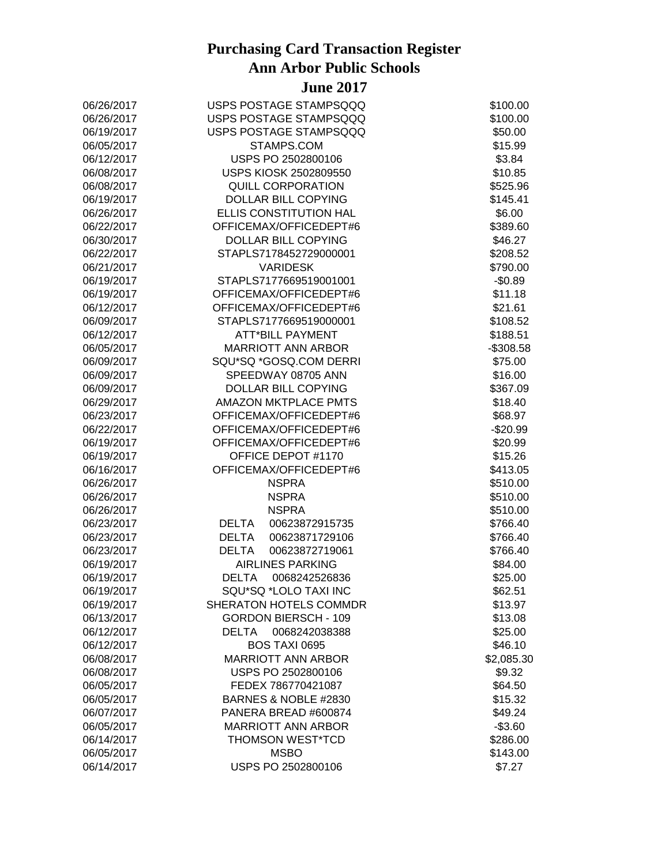| 06/26/2017 | USPS POSTAGE STAMPSQQQ         | \$100.00   |
|------------|--------------------------------|------------|
| 06/26/2017 | USPS POSTAGE STAMPSQQQ         | \$100.00   |
| 06/19/2017 | USPS POSTAGE STAMPSQQQ         | \$50.00    |
| 06/05/2017 | STAMPS.COM                     | \$15.99    |
| 06/12/2017 | USPS PO 2502800106             | \$3.84     |
| 06/08/2017 | USPS KIOSK 2502809550          | \$10.85    |
| 06/08/2017 | <b>QUILL CORPORATION</b>       | \$525.96   |
| 06/19/2017 | DOLLAR BILL COPYING            | \$145.41   |
| 06/26/2017 | ELLIS CONSTITUTION HAL         | \$6.00     |
| 06/22/2017 | OFFICEMAX/OFFICEDEPT#6         | \$389.60   |
| 06/30/2017 | <b>DOLLAR BILL COPYING</b>     | \$46.27    |
| 06/22/2017 | STAPLS7178452729000001         | \$208.52   |
| 06/21/2017 | <b>VARIDESK</b>                | \$790.00   |
| 06/19/2017 | STAPLS7177669519001001         | $-$0.89$   |
| 06/19/2017 | OFFICEMAX/OFFICEDEPT#6         | \$11.18    |
| 06/12/2017 | OFFICEMAX/OFFICEDEPT#6         | \$21.61    |
| 06/09/2017 | STAPLS7177669519000001         | \$108.52   |
| 06/12/2017 | <b>ATT*BILL PAYMENT</b>        | \$188.51   |
| 06/05/2017 | <b>MARRIOTT ANN ARBOR</b>      | $-$308.58$ |
| 06/09/2017 | SQU*SQ *GOSQ.COM DERRI         | \$75.00    |
| 06/09/2017 | SPEEDWAY 08705 ANN             | \$16.00    |
| 06/09/2017 | DOLLAR BILL COPYING            | \$367.09   |
| 06/29/2017 | <b>AMAZON MKTPLACE PMTS</b>    | \$18.40    |
| 06/23/2017 | OFFICEMAX/OFFICEDEPT#6         | \$68.97    |
| 06/22/2017 | OFFICEMAX/OFFICEDEPT#6         | $-$20.99$  |
| 06/19/2017 | OFFICEMAX/OFFICEDEPT#6         | \$20.99    |
|            | OFFICE DEPOT #1170             |            |
| 06/19/2017 |                                | \$15.26    |
| 06/16/2017 | OFFICEMAX/OFFICEDEPT#6         | \$413.05   |
| 06/26/2017 | <b>NSPRA</b>                   | \$510.00   |
| 06/26/2017 | <b>NSPRA</b>                   | \$510.00   |
| 06/26/2017 | <b>NSPRA</b>                   | \$510.00   |
| 06/23/2017 | 00623872915735<br><b>DELTA</b> | \$766.40   |
| 06/23/2017 | <b>DELTA</b><br>00623871729106 | \$766.40   |
| 06/23/2017 | <b>DELTA</b><br>00623872719061 | \$766.40   |
| 06/19/2017 | <b>AIRLINES PARKING</b>        | \$84.00    |
| 06/19/2017 | <b>DELTA</b><br>0068242526836  | \$25.00    |
| 06/19/2017 | SQU*SQ *LOLO TAXI INC          | \$62.51    |
| 06/19/2017 | <b>SHERATON HOTELS COMMDR</b>  | \$13.97    |
| 06/13/2017 | <b>GORDON BIERSCH - 109</b>    | \$13.08    |
| 06/12/2017 | <b>DELTA</b><br>0068242038388  | \$25.00    |
| 06/12/2017 | BOS TAXI 0695                  | \$46.10    |
| 06/08/2017 | <b>MARRIOTT ANN ARBOR</b>      | \$2,085.30 |
| 06/08/2017 | USPS PO 2502800106             | \$9.32     |
| 06/05/2017 | FEDEX 786770421087             | \$64.50    |
| 06/05/2017 | BARNES & NOBLE #2830           | \$15.32    |
| 06/07/2017 | PANERA BREAD #600874           | \$49.24    |
| 06/05/2017 | <b>MARRIOTT ANN ARBOR</b>      | $-$3.60$   |
| 06/14/2017 | THOMSON WEST*TCD               | \$286.00   |
| 06/05/2017 | <b>MSBO</b>                    | \$143.00   |
| 06/14/2017 | USPS PO 2502800106             | \$7.27     |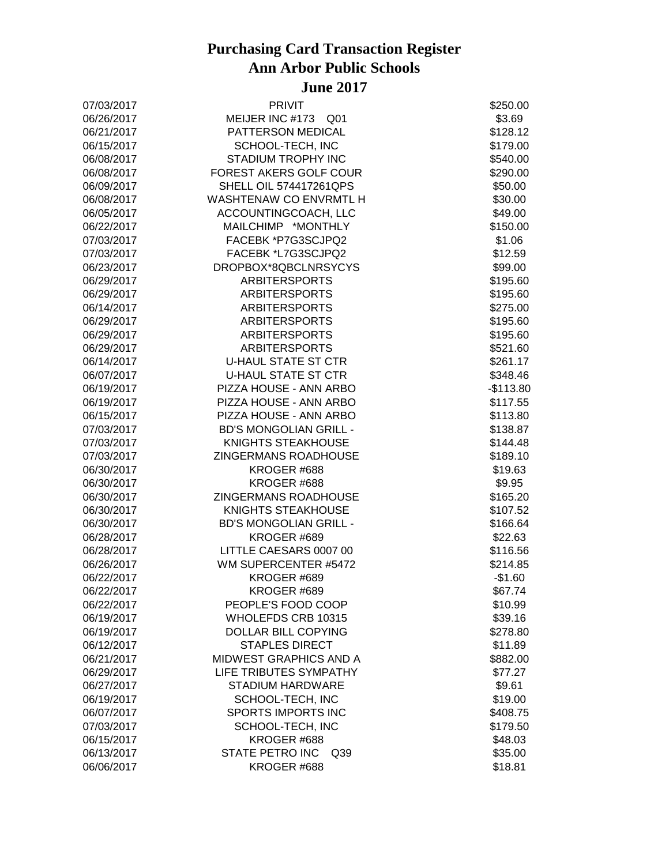| 07/03/2017 | <b>PRIVIT</b>                             | \$250.00   |
|------------|-------------------------------------------|------------|
| 06/26/2017 | MEIJER INC #173 Q01                       | \$3.69     |
| 06/21/2017 | PATTERSON MEDICAL                         | \$128.12   |
| 06/15/2017 | SCHOOL-TECH, INC                          | \$179.00   |
| 06/08/2017 | STADIUM TROPHY INC                        | \$540.00   |
| 06/08/2017 | FOREST AKERS GOLF COUR                    | \$290.00   |
| 06/09/2017 | <b>SHELL OIL 574417261QPS</b>             | \$50.00    |
| 06/08/2017 | WASHTENAW CO ENVRMTL H                    | \$30.00    |
| 06/05/2017 | ACCOUNTINGCOACH, LLC                      | \$49.00    |
| 06/22/2017 | MAILCHIMP *MONTHLY                        | \$150.00   |
| 07/03/2017 | FACEBK *P7G3SCJPQ2                        | \$1.06     |
| 07/03/2017 | FACEBK *L7G3SCJPQ2                        | \$12.59    |
| 06/23/2017 | DROPBOX*8QBCLNRSYCYS                      | \$99.00    |
| 06/29/2017 | <b>ARBITERSPORTS</b>                      | \$195.60   |
| 06/29/2017 | <b>ARBITERSPORTS</b>                      | \$195.60   |
| 06/14/2017 | <b>ARBITERSPORTS</b>                      | \$275.00   |
| 06/29/2017 | <b>ARBITERSPORTS</b>                      | \$195.60   |
| 06/29/2017 | <b>ARBITERSPORTS</b>                      | \$195.60   |
| 06/29/2017 | <b>ARBITERSPORTS</b>                      | \$521.60   |
| 06/14/2017 | <b>U-HAUL STATE ST CTR</b>                | \$261.17   |
| 06/07/2017 | <b>U-HAUL STATE ST CTR</b>                | \$348.46   |
| 06/19/2017 | PIZZA HOUSE - ANN ARBO                    | $-$113.80$ |
| 06/19/2017 | PIZZA HOUSE - ANN ARBO                    | \$117.55   |
| 06/15/2017 | PIZZA HOUSE - ANN ARBO                    | \$113.80   |
| 07/03/2017 | <b>BD'S MONGOLIAN GRILL -</b>             | \$138.87   |
| 07/03/2017 | KNIGHTS STEAKHOUSE                        | \$144.48   |
| 07/03/2017 | ZINGERMANS ROADHOUSE                      | \$189.10   |
| 06/30/2017 | KROGER #688                               | \$19.63    |
| 06/30/2017 | KROGER #688                               | \$9.95     |
| 06/30/2017 | ZINGERMANS ROADHOUSE                      | \$165.20   |
| 06/30/2017 | <b>KNIGHTS STEAKHOUSE</b>                 | \$107.52   |
| 06/30/2017 | <b>BD'S MONGOLIAN GRILL -</b>             | \$166.64   |
| 06/28/2017 | KROGER #689                               | \$22.63    |
| 06/28/2017 | LITTLE CAESARS 0007 00                    | \$116.56   |
| 06/26/2017 | WM SUPERCENTER #5472                      | \$214.85   |
| 06/22/2017 | KROGER #689                               | $-$1.60$   |
| 06/22/2017 | KROGER #689                               | \$67.74    |
| 06/22/2017 | PEOPLE'S FOOD COOP                        | \$10.99    |
| 06/19/2017 | WHOLEFDS CRB 10315                        | \$39.16    |
| 06/19/2017 | DOLLAR BILL COPYING                       | \$278.80   |
| 06/12/2017 | <b>STAPLES DIRECT</b>                     | \$11.89    |
| 06/21/2017 | <b>MIDWEST GRAPHICS AND A</b>             | \$882.00   |
| 06/29/2017 | LIFE TRIBUTES SYMPATHY                    | \$77.27    |
| 06/27/2017 | <b>STADIUM HARDWARE</b>                   | \$9.61     |
| 06/19/2017 | SCHOOL-TECH, INC                          | \$19.00    |
| 06/07/2017 | SPORTS IMPORTS INC                        | \$408.75   |
| 07/03/2017 | SCHOOL-TECH, INC                          | \$179.50   |
| 06/15/2017 | KROGER #688                               | \$48.03    |
| 06/13/2017 | <b>STATE PETRO INC</b><br>Q <sub>39</sub> | \$35.00    |
| 06/06/2017 | KROGER #688                               | \$18.81    |
|            |                                           |            |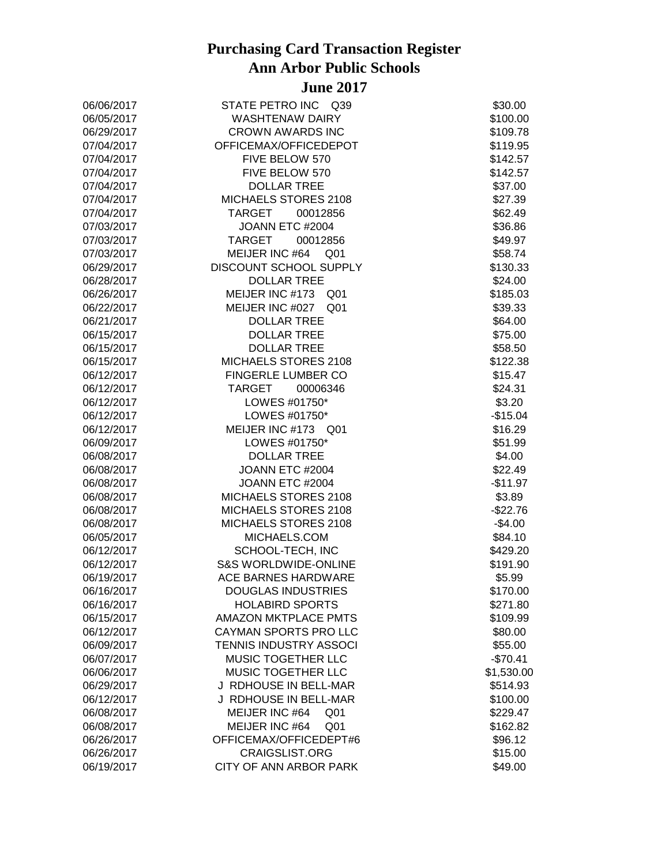| 06/06/2017 | STATE PETRO INC Q39               | \$30.00    |
|------------|-----------------------------------|------------|
| 06/05/2017 | <b>WASHTENAW DAIRY</b>            | \$100.00   |
| 06/29/2017 | <b>CROWN AWARDS INC</b>           | \$109.78   |
| 07/04/2017 | OFFICEMAX/OFFICEDEPOT             | \$119.95   |
| 07/04/2017 | FIVE BELOW 570                    | \$142.57   |
| 07/04/2017 | FIVE BELOW 570                    | \$142.57   |
| 07/04/2017 | <b>DOLLAR TREE</b>                | \$37.00    |
| 07/04/2017 | MICHAELS STORES 2108              | \$27.39    |
| 07/04/2017 | <b>TARGET</b><br>00012856         | \$62.49    |
| 07/03/2017 | JOANN ETC #2004                   | \$36.86    |
| 07/03/2017 | 00012856<br>TARGET                | \$49.97    |
| 07/03/2017 | MEIJER INC #64 Q01                | \$58.74    |
| 06/29/2017 | DISCOUNT SCHOOL SUPPLY            | \$130.33   |
| 06/28/2017 | <b>DOLLAR TREE</b>                | \$24.00    |
| 06/26/2017 | MEIJER INC #173 Q01               | \$185.03   |
| 06/22/2017 | MEIJER INC #027 Q01               | \$39.33    |
| 06/21/2017 | <b>DOLLAR TREE</b>                | \$64.00    |
| 06/15/2017 | <b>DOLLAR TREE</b>                | \$75.00    |
| 06/15/2017 | <b>DOLLAR TREE</b>                | \$58.50    |
| 06/15/2017 | MICHAELS STORES 2108              | \$122.38   |
| 06/12/2017 | FINGERLE LUMBER CO                | \$15.47    |
| 06/12/2017 | TARGET<br>00006346                | \$24.31    |
| 06/12/2017 | LOWES #01750*                     | \$3.20     |
| 06/12/2017 | LOWES #01750*                     | $-$15.04$  |
| 06/12/2017 | MEIJER INC #173 Q01               | \$16.29    |
| 06/09/2017 | LOWES #01750*                     | \$51.99    |
| 06/08/2017 | <b>DOLLAR TREE</b>                | \$4.00     |
| 06/08/2017 | JOANN ETC #2004                   | \$22.49    |
| 06/08/2017 | JOANN ETC #2004                   | $-$11.97$  |
| 06/08/2017 | MICHAELS STORES 2108              | \$3.89     |
| 06/08/2017 | MICHAELS STORES 2108              | $-$22.76$  |
| 06/08/2017 | MICHAELS STORES 2108              | $-$4.00$   |
| 06/05/2017 | MICHAELS.COM                      | \$84.10    |
| 06/12/2017 | SCHOOL-TECH, INC                  | \$429.20   |
| 06/12/2017 | <b>S&amp;S WORLDWIDE-ONLINE</b>   | \$191.90   |
| 06/19/2017 | ACE BARNES HARDWARE               | \$5.99     |
| 06/16/2017 | <b>DOUGLAS INDUSTRIES</b>         | \$170.00   |
| 06/16/2017 | <b>HOLABIRD SPORTS</b>            | \$271.80   |
| 06/15/2017 | <b>AMAZON MKTPLACE PMTS</b>       | \$109.99   |
| 06/12/2017 | CAYMAN SPORTS PRO LLC             | \$80.00    |
| 06/09/2017 | TENNIS INDUSTRY ASSOCI            | \$55.00    |
| 06/07/2017 | MUSIC TOGETHER LLC                | $-$70.41$  |
| 06/06/2017 | MUSIC TOGETHER LLC                | \$1,530.00 |
| 06/29/2017 | J RDHOUSE IN BELL-MAR             | \$514.93   |
| 06/12/2017 | J RDHOUSE IN BELL-MAR             | \$100.00   |
| 06/08/2017 | MEIJER INC #64<br>Q <sub>01</sub> | \$229.47   |
| 06/08/2017 | MEIJER INC #64<br>Q <sub>01</sub> | \$162.82   |
| 06/26/2017 | OFFICEMAX/OFFICEDEPT#6            | \$96.12    |
| 06/26/2017 | <b>CRAIGSLIST.ORG</b>             | \$15.00    |
| 06/19/2017 | CITY OF ANN ARBOR PARK            | \$49.00    |
|            |                                   |            |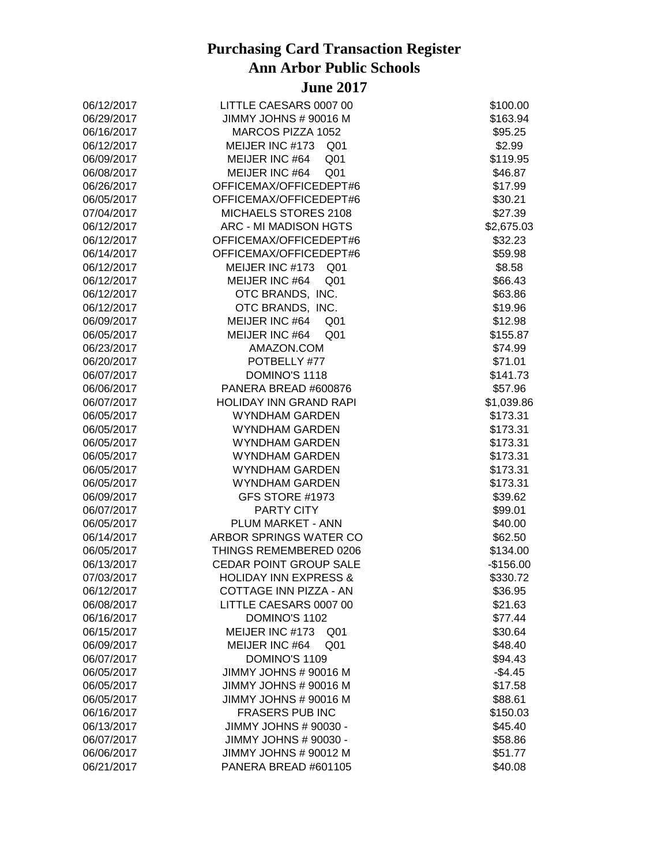| 06/12/2017 | LITTLE CAESARS 0007 00             | \$100.00   |
|------------|------------------------------------|------------|
| 06/29/2017 | JIMMY JOHNS # 90016 M              | \$163.94   |
| 06/16/2017 | MARCOS PIZZA 1052                  | \$95.25    |
| 06/12/2017 | MEIJER INC #173<br>Q <sub>01</sub> | \$2.99     |
| 06/09/2017 | MEIJER INC #64<br>Q <sub>01</sub>  | \$119.95   |
| 06/08/2017 | MEIJER INC #64<br>Q <sub>01</sub>  | \$46.87    |
| 06/26/2017 | OFFICEMAX/OFFICEDEPT#6             | \$17.99    |
| 06/05/2017 | OFFICEMAX/OFFICEDEPT#6             | \$30.21    |
| 07/04/2017 | MICHAELS STORES 2108               | \$27.39    |
| 06/12/2017 | ARC - MI MADISON HGTS              | \$2,675.03 |
| 06/12/2017 | OFFICEMAX/OFFICEDEPT#6             | \$32.23    |
| 06/14/2017 | OFFICEMAX/OFFICEDEPT#6             | \$59.98    |
| 06/12/2017 | MEIJER INC #173 Q01                | \$8.58     |
| 06/12/2017 | MEIJER INC #64<br>Q <sub>01</sub>  | \$66.43    |
| 06/12/2017 | OTC BRANDS, INC.                   | \$63.86    |
| 06/12/2017 | OTC BRANDS, INC.                   | \$19.96    |
| 06/09/2017 | MEIJER INC #64<br>Q <sub>01</sub>  | \$12.98    |
| 06/05/2017 | MEIJER INC #64<br>Q <sub>01</sub>  | \$155.87   |
| 06/23/2017 | AMAZON.COM                         | \$74.99    |
| 06/20/2017 | POTBELLY #77                       | \$71.01    |
| 06/07/2017 | DOMINO'S 1118                      | \$141.73   |
| 06/06/2017 | PANERA BREAD #600876               | \$57.96    |
| 06/07/2017 | <b>HOLIDAY INN GRAND RAPI</b>      | \$1,039.86 |
| 06/05/2017 | <b>WYNDHAM GARDEN</b>              | \$173.31   |
| 06/05/2017 | <b>WYNDHAM GARDEN</b>              | \$173.31   |
| 06/05/2017 | <b>WYNDHAM GARDEN</b>              | \$173.31   |
| 06/05/2017 | <b>WYNDHAM GARDEN</b>              | \$173.31   |
| 06/05/2017 | <b>WYNDHAM GARDEN</b>              | \$173.31   |
| 06/05/2017 | <b>WYNDHAM GARDEN</b>              | \$173.31   |
| 06/09/2017 | GFS STORE #1973                    | \$39.62    |
| 06/07/2017 | <b>PARTY CITY</b>                  | \$99.01    |
| 06/05/2017 | PLUM MARKET - ANN                  | \$40.00    |
| 06/14/2017 | ARBOR SPRINGS WATER CO             | \$62.50    |
| 06/05/2017 | THINGS REMEMBERED 0206             | \$134.00   |
| 06/13/2017 | CEDAR POINT GROUP SALE             | $-$156.00$ |
| 07/03/2017 | <b>HOLIDAY INN EXPRESS &amp;</b>   | \$330.72   |
| 06/12/2017 | COTTAGE INN PIZZA - AN             | \$36.95    |
| 06/08/2017 | LITTLE CAESARS 0007 00             | \$21.63    |
| 06/16/2017 | DOMINO'S 1102                      | \$77.44    |
| 06/15/2017 | MEIJER INC #173<br>Q <sub>01</sub> | \$30.64    |
| 06/09/2017 | MEIJER INC #64<br>Q <sub>01</sub>  | \$48.40    |
| 06/07/2017 | DOMINO'S 1109                      | \$94.43    |
| 06/05/2017 | JIMMY JOHNS # 90016 M              | $-$4.45$   |
| 06/05/2017 | JIMMY JOHNS # 90016 M              | \$17.58    |
| 06/05/2017 | JIMMY JOHNS # 90016 M              | \$88.61    |
| 06/16/2017 | <b>FRASERS PUB INC</b>             | \$150.03   |
| 06/13/2017 | JIMMY JOHNS # 90030 -              | \$45.40    |
| 06/07/2017 | JIMMY JOHNS # 90030 -              | \$58.86    |
| 06/06/2017 | JIMMY JOHNS # 90012 M              | \$51.77    |
| 06/21/2017 | PANERA BREAD #601105               | \$40.08    |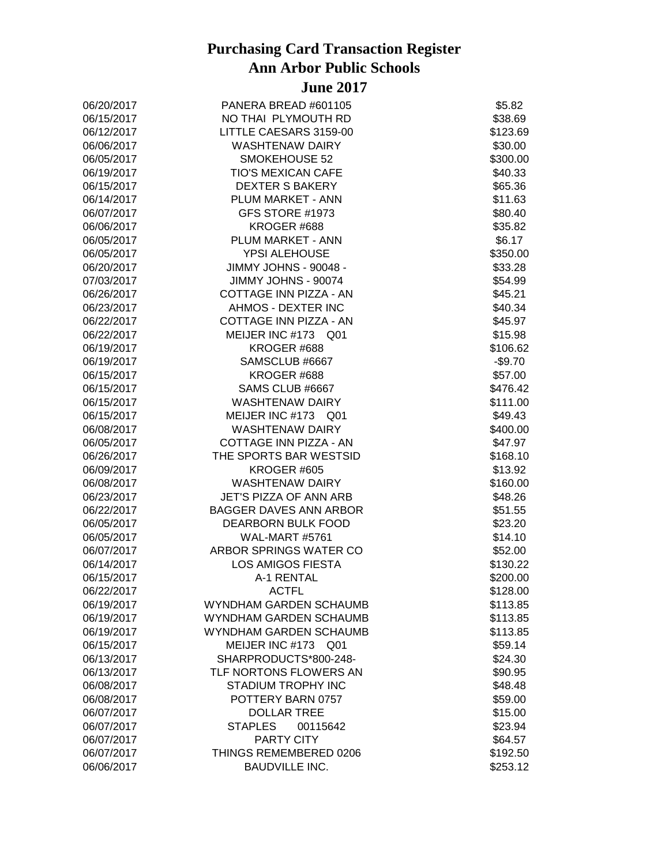| 06/20/2017 | PANERA BREAD #601105               | \$5.82   |
|------------|------------------------------------|----------|
| 06/15/2017 | NO THAI PLYMOUTH RD                | \$38.69  |
| 06/12/2017 | LITTLE CAESARS 3159-00             | \$123.69 |
| 06/06/2017 | WASHTENAW DAIRY                    | \$30.00  |
| 06/05/2017 | SMOKEHOUSE 52                      | \$300.00 |
| 06/19/2017 | <b>TIO'S MEXICAN CAFE</b>          | \$40.33  |
| 06/15/2017 | <b>DEXTER S BAKERY</b>             | \$65.36  |
| 06/14/2017 | PLUM MARKET - ANN                  | \$11.63  |
| 06/07/2017 | GFS STORE #1973                    | \$80.40  |
| 06/06/2017 | KROGER #688                        | \$35.82  |
| 06/05/2017 | PLUM MARKET - ANN                  | \$6.17   |
| 06/05/2017 | YPSI ALEHOUSE                      | \$350.00 |
| 06/20/2017 | JIMMY JOHNS - 90048 -              | \$33.28  |
| 07/03/2017 | JIMMY JOHNS - 90074                | \$54.99  |
| 06/26/2017 | COTTAGE INN PIZZA - AN             | \$45.21  |
| 06/23/2017 | AHMOS - DEXTER INC                 | \$40.34  |
| 06/22/2017 | COTTAGE INN PIZZA - AN             | \$45.97  |
| 06/22/2017 | MEIJER INC #173 Q01                | \$15.98  |
| 06/19/2017 | KROGER #688                        | \$106.62 |
| 06/19/2017 | SAMSCLUB #6667                     | $-$9.70$ |
| 06/15/2017 | KROGER #688                        | \$57.00  |
| 06/15/2017 | SAMS CLUB #6667                    | \$476.42 |
| 06/15/2017 | WASHTENAW DAIRY                    | \$111.00 |
| 06/15/2017 | MEIJER INC #173 Q01                | \$49.43  |
| 06/08/2017 | <b>WASHTENAW DAIRY</b>             | \$400.00 |
| 06/05/2017 | COTTAGE INN PIZZA - AN             | \$47.97  |
| 06/26/2017 | THE SPORTS BAR WESTSID             | \$168.10 |
| 06/09/2017 | KROGER #605                        | \$13.92  |
| 06/08/2017 | <b>WASHTENAW DAIRY</b>             | \$160.00 |
| 06/23/2017 | JET'S PIZZA OF ANN ARB             | \$48.26  |
| 06/22/2017 | BAGGER DAVES ANN ARBOR             | \$51.55  |
| 06/05/2017 | DEARBORN BULK FOOD                 | \$23.20  |
| 06/05/2017 | WAL-MART #5761                     | \$14.10  |
| 06/07/2017 | ARBOR SPRINGS WATER CO             | \$52.00  |
| 06/14/2017 | <b>LOS AMIGOS FIESTA</b>           | \$130.22 |
| 06/15/2017 | A-1 RENTAL                         | \$200.00 |
| 06/22/2017 | <b>ACTFL</b>                       | \$128.00 |
| 06/19/2017 | WYNDHAM GARDEN SCHAUMB             | \$113.85 |
| 06/19/2017 | WYNDHAM GARDEN SCHAUMB             | \$113.85 |
| 06/19/2017 | WYNDHAM GARDEN SCHAUMB             | \$113.85 |
| 06/15/2017 | MEIJER INC #173<br>Q <sub>01</sub> | \$59.14  |
| 06/13/2017 | SHARPRODUCTS*800-248-              | \$24.30  |
| 06/13/2017 | TLF NORTONS FLOWERS AN             | \$90.95  |
| 06/08/2017 | STADIUM TROPHY INC                 | \$48.48  |
| 06/08/2017 | POTTERY BARN 0757                  | \$59.00  |
| 06/07/2017 | <b>DOLLAR TREE</b>                 | \$15.00  |
| 06/07/2017 | <b>STAPLES</b><br>00115642         | \$23.94  |
| 06/07/2017 | <b>PARTY CITY</b>                  | \$64.57  |
| 06/07/2017 | THINGS REMEMBERED 0206             | \$192.50 |
| 06/06/2017 | <b>BAUDVILLE INC.</b>              | \$253.12 |
|            |                                    |          |